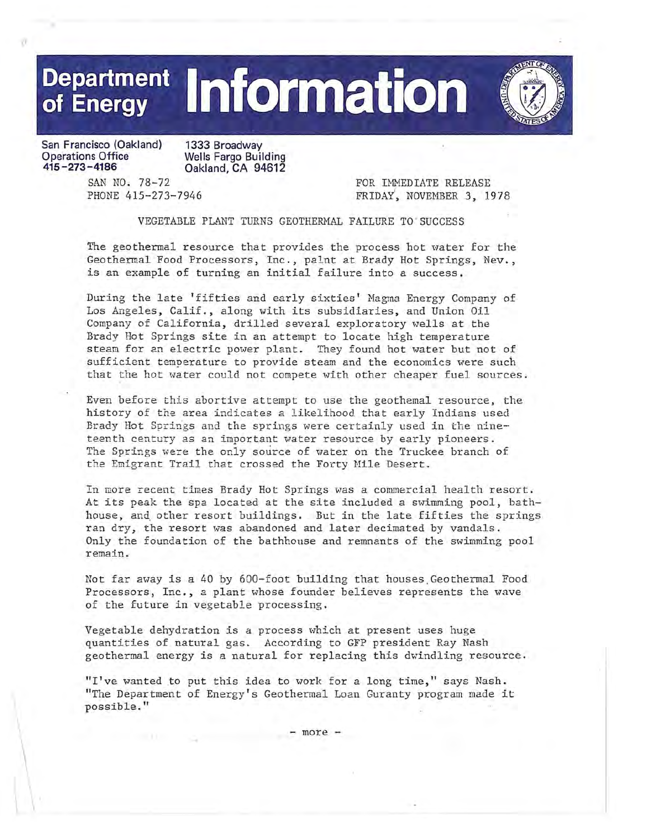

**San Francisco (Oakland) Operations Office 415-273-4186** 

**1333 Broadway Wells Fargo Building Oakland, CA 94612** 

SAN NO. 78-72 PHONE 415-273-7946 FOR IMMEDIATE RELEASE FRIDAY', NOVEMBER 3, 1978

VEGETABLE PLANT TURNS GEOTHERMAL FAILURE TO SUCCESS

The geothermal resource that provides the process hot water for the Geothermal Food Processors, Inc., palnt at Brady Hot Springs, Nev., is an example of turning an initial failure into a success.

During the late 'fifties and early sixties' Magma Energy Company of Los Angeles, Calif., along \vith its subsidiaries, and Union Oil Company of California, drilled several exploratory wells at the Brady Hot Springs site in an attempt to locate high temperature steam for an electric power plant. They found hot water but not of sufficient temperature to provide steam and the economics were such that the hot water could not compete with other cheaper fuel sources.

Even before this abortive attempt to use the geothemal resource, the history of the area indicates a likelihood that early Indians used Brady Hot Springs and the springs were certainly used in the nineteenth century as an important water resource by early pioneers. The Springs were the only source of water on the Truckee branch of the Emigrant Trail that crossed the Forty Mile Desert.

In more recent times Brady Hot Springs was a commercial health resort. At its peak the spa located at the site included a swimming pool, bathhouse, and other resort buildings. But in the late fifties the springs ran dry, the resort was abandoned and later decimated by vandals. Only the foundation of the bathhouse and remnants of the swimming pool remain.

Not far away is a 40 by 600-foot building that houses Geothermal Food Processors, Inc., a plant whose founder believes represents the wave of the future in vegetable processing.

Vegetable dehydration is a process which at present uses huge quantities of natural gas. According to GFP president Ray Nash geothermal energy is a natural for replacing this dwindling resource.

"I've wanted to put this idea to work for a long time," says Nash. "The Department of Energy's Geothermal Loan Guranty program made it possible."

- more -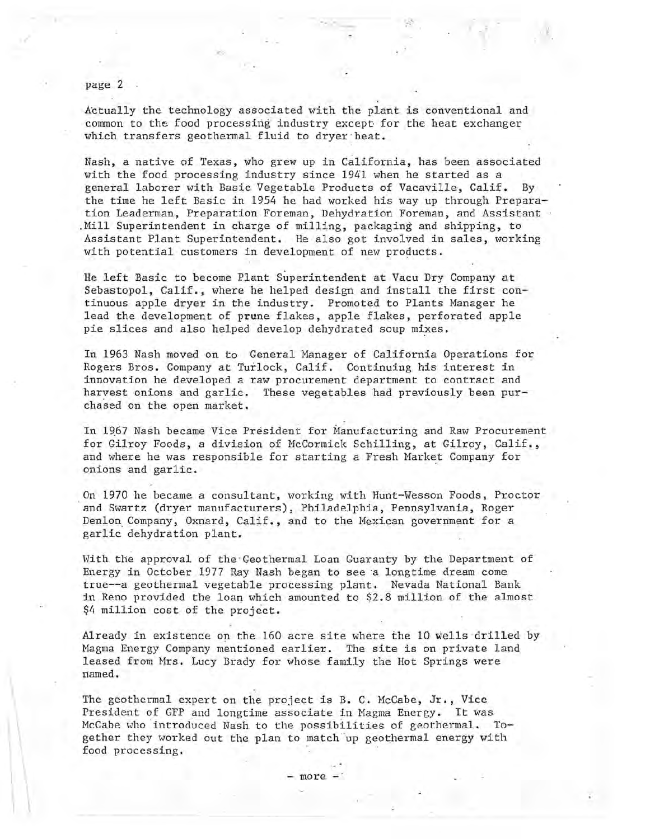page 2

Actually the technology associated with the plant is conventional and common to the food processing industry except for the heat exchanger which transfers geothermal fluid to dryer heat.

··.t·

Nash, a native of Texas, who grew up in California, has been associated with the food processing industry since 1941 when he started as a general laborer with Basic Vegetable Products of Vacaville, Calif. By the time he left Basic in 1954 he had worked his way up through Preparation Leaderman, Preparation Foreman, Dehydration Foreman, and Assistant Mill Superintendent in charge of milling, packaging and shipping, to Assistant Plant Superintendent. He also got involved in sales, working with potential customers in development of new products.

He left Basic to become Plant Superintendent at Vacu Dry Company at Sebastopol, Calif., where he helped design and install the first continuous apple dryer in the industry. Promoted to Plants Manager he lead the development of prune flakes, apple flakes, perforated apple pie slices and also helped develop dehydrated soup mixes.

In 1963 Nash moved on to General Manager of California Operations for Rogers Bros. Company at Turlock, Calif. Continuing his interest in innovation he developed a raw procurement department to contract and haryest onions and garlic. These vegetables had previously been purchased on the open market.

In 1967 Nash became Vice President for Manufacturing and Raw Procurement for Gilroy Foods, a division of HcCormick Schilling, at Gilroy, Calif., and where he was responsible for starting a Fresh Market Company for onions and garlic.

On 1970 he became a consultant, working with Hunt-Wesson Foods, Proctor and Swartz (dryer manufacturers), Philadelphia, Pennsylvania, Roger Denlon Company, Oxnard, Calif., and to the Mexican government for a garlic dehydration plant.

With the approval of the Geothermal Loan Guaranty by the Department of Energy in October 1977 Ray Nash began to see 'a longtime dream come true--a geothermal vegetable processing plant. Nevada National Bank in Reno provided the loan which amounted to \$2.8 million of the almost \$4 million cost of the project.

Already in existence on the 160 acre site where the 10 wells drilled by Nagma Energy Company mentioned earlier. The site is on private land leased from Mrs. Lucy Brady for whose family the Hot Springs were rtamed.

The geothermal expert on the project is B. C. McCabe, Jr., Vice President of GFP and longtime associate in Magma Energy. It was McCabe who introduced Nash to the possibilities of geothermal. Together they worked out the plan to match'up geothermal energy with food processing.

- more -